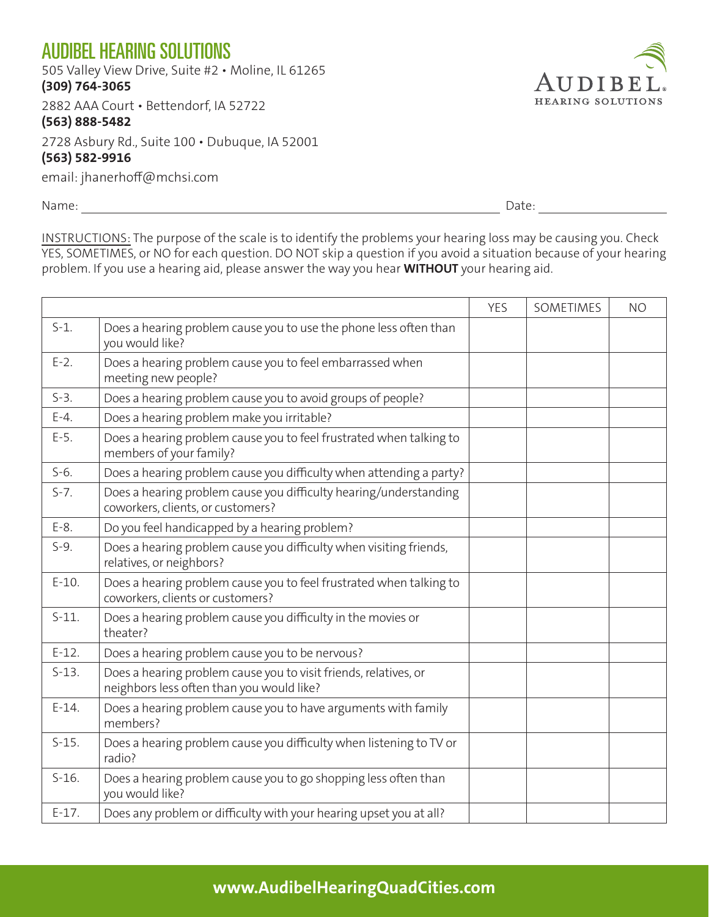## AUDIBEL HEARING SOLUTIONS

505 Valley View Drive, Suite #2 • Moline, IL 61265

**(309) 764-3065**

2882 AAA Court • Bettendorf, IA 52722

## **(563) 888-5482**

2728 Asbury Rd., Suite 100 • Dubuque, IA 52001

## **(563) 582-9916**

email: jhanerhoff@mchsi.com

Name: Date:

UDIBE **HEARING SOLUTIONS** 

INSTRUCTIONS: The purpose of the scale is to identify the problems your hearing loss may be causing you. Check YES, SOMETIMES, or NO for each question. DO NOT skip a question if you avoid a situation because of your hearing problem. If you use a hearing aid, please answer the way you hear **WITHOUT** your hearing aid.

|         |                                                                                                               | <b>YES</b> | SOMETIMES | <b>NO</b> |
|---------|---------------------------------------------------------------------------------------------------------------|------------|-----------|-----------|
| $S-1$ . | Does a hearing problem cause you to use the phone less often than<br>you would like?                          |            |           |           |
| $E-2$ . | Does a hearing problem cause you to feel embarrassed when<br>meeting new people?                              |            |           |           |
| $S-3$ . | Does a hearing problem cause you to avoid groups of people?                                                   |            |           |           |
| $E-4.$  | Does a hearing problem make you irritable?                                                                    |            |           |           |
| $E-5.$  | Does a hearing problem cause you to feel frustrated when talking to<br>members of your family?                |            |           |           |
| $S-6.$  | Does a hearing problem cause you difficulty when attending a party?                                           |            |           |           |
| $S-7.$  | Does a hearing problem cause you difficulty hearing/understanding<br>coworkers, clients, or customers?        |            |           |           |
| $E-8$ . | Do you feel handicapped by a hearing problem?                                                                 |            |           |           |
| $S-9.$  | Does a hearing problem cause you difficulty when visiting friends,<br>relatives, or neighbors?                |            |           |           |
| $E-10.$ | Does a hearing problem cause you to feel frustrated when talking to<br>coworkers, clients or customers?       |            |           |           |
| $S-11.$ | Does a hearing problem cause you difficulty in the movies or<br>theater?                                      |            |           |           |
| $E-12.$ | Does a hearing problem cause you to be nervous?                                                               |            |           |           |
| $S-13.$ | Does a hearing problem cause you to visit friends, relatives, or<br>neighbors less often than you would like? |            |           |           |
| $E-14.$ | Does a hearing problem cause you to have arguments with family<br>members?                                    |            |           |           |
| $S-15.$ | Does a hearing problem cause you difficulty when listening to TV or<br>radio?                                 |            |           |           |
| $S-16.$ | Does a hearing problem cause you to go shopping less often than<br>you would like?                            |            |           |           |
| $E-17.$ | Does any problem or difficulty with your hearing upset you at all?                                            |            |           |           |